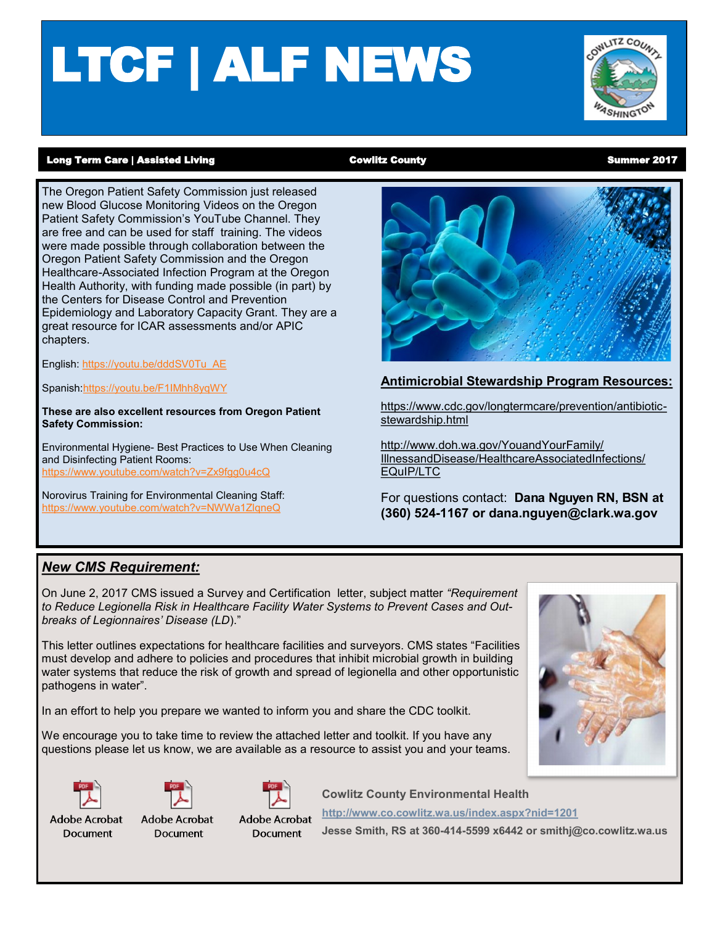# LTCF | ALF NEWS



#### Long Term Care | Assisted Living **Cowlitz County** Cowlitz County County County Counter 2017

The Oregon Patient Safety Commission just released new Blood Glucose Monitoring Videos on the Oregon Patient Safety Commission's YouTube Channel. They are free and can be used for staff training. The videos were made possible through collaboration between the Oregon Patient Safety Commission and the Oregon Healthcare-Associated Infection Program at the Oregon Health Authority, with funding made possible (in part) by the Centers for Disease Control and Prevention Epidemiology and Laboratory Capacity Grant. They are a great resource for ICAR assessments and/or APIC chapters.

English: [https://youtu.be/dddSV0Tu\\_AE](https://youtu.be/dddSV0Tu_AE)

Spanish[:https://youtu.be/F1IMhh8yqWY](https://youtu.be/F1IMhh8yqWY)

**These are also excellent resources from Oregon Patient Safety Commission:**

Environmental Hygiene- Best Practices to Use When Cleaning and Disinfecting Patient Rooms: <https://www.youtube.com/watch?v=Zx9fgg0u4cQ>

Norovirus Training for Environmental Cleaning Staff: <https://www.youtube.com/watch?v=NWWa1ZlqneQ>



### **Antimicrobial Stewardship Program Resources:**

[https://www.cdc.gov/longtermcare/prevention/antibiotic](https://www.cdc.gov/longtermcare/prevention/antibiotic-stewardship.html)[stewardship.html](https://www.cdc.gov/longtermcare/prevention/antibiotic-stewardship.html)

[http://www.doh.wa.gov/YouandYourFamily/](http://www.doh.wa.gov/YouandYourFamily/IllnessandDisease/HealthcareAssociatedInfections/EQuIP/LTC) [IllnessandDisease/HealthcareAssociatedInfections/](http://www.doh.wa.gov/YouandYourFamily/IllnessandDisease/HealthcareAssociatedInfections/EQuIP/LTC) [EQuIP/LTC](http://www.doh.wa.gov/YouandYourFamily/IllnessandDisease/HealthcareAssociatedInfections/EQuIP/LTC)

For questions contact: **Dana Nguyen RN, BSN at (360) 524-1167 or dana.nguyen@clark.wa.gov** 

### *New CMS Requirement:*

On June 2, 2017 CMS issued a Survey and Certification letter, subject matter *"Requirement to Reduce Legionella Risk in Healthcare Facility Water Systems to Prevent Cases and Outbreaks of Legionnaires' Disease (LD*)."

This letter outlines expectations for healthcare facilities and surveyors. CMS states "Facilities must develop and adhere to policies and procedures that inhibit microbial growth in building water systems that reduce the risk of growth and spread of legionella and other opportunistic pathogens in water".

In an effort to help you prepare we wanted to inform you and share the CDC toolkit.

We encourage you to take time to review the attached letter and toolkit. If you have any questions please let us know, we are available as a resource to assist you and your teams.





**Adobe Acrobat** 

**Document** 



**Adobe Acrobat** 

**Document** 



**Cowlitz County Environmental Health**

**Adobe Acrobat Document** 

**<http://www.co.cowlitz.wa.us/index.aspx?nid=1201> Jesse Smith, RS at 360-414-5599 x6442 or smithj@co.cowlitz.wa.us**